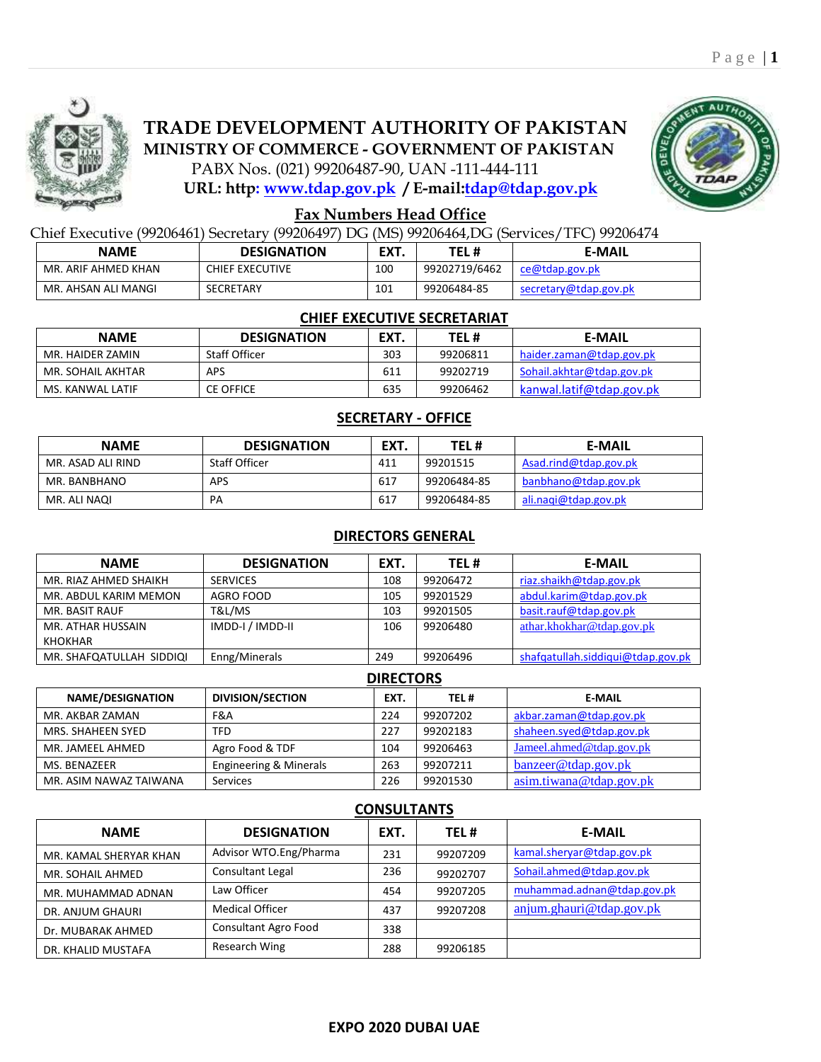

# **TRADE DEVELOPMENT AUTHORITY OF PAKISTAN MINISTRY OF COMMERCE - GOVERNMENT OF PAKISTAN**

PABX Nos. (021) 99206487-90, UAN -111-444-111

**URL: http: [www.tdap.gov.pk](http://www.epb.gov.pk/) / E-mail[:tdap@tdap.gov.pk](mailto:tdap@tdap.gov.pk)**



## **Fax Numbers Head Office**

Chief Executive (99206461) Secretary (99206497) DG (MS) 99206464,DG (Services/TFC) 99206474

| <b>NAME</b>         | <b>DESIGNATION</b>     | EXT. | TEL #         | <b>E-MAIL</b>         |
|---------------------|------------------------|------|---------------|-----------------------|
| MR. ARIF AHMED KHAN | <b>CHIEF EXECUTIVE</b> | 100  | 99202719/6462 | ce@tdap.gov.pk        |
| MR. AHSAN ALI MANGI | SECRETARY              | 101  | 99206484-85   | secretary@tdap.gov.pk |

### **CHIEF EXECUTIVE SECRETARIAT**

| <b>NAME</b>       | <b>DESIGNATION</b>   | EXT. | TEL #    | <b>E-MAIL</b>             |
|-------------------|----------------------|------|----------|---------------------------|
| MR. HAIDER ZAMIN  | <b>Staff Officer</b> | 303  | 99206811 | haider.zaman@tdap.gov.pk  |
| MR. SOHAIL AKHTAR | <b>APS</b>           | 611  | 99202719 | Sohail.akhtar@tdap.gov.pk |
| MS. KANWAL LATIF  | <b>CE OFFICE</b>     | 635  | 99206462 | kanwal.latif@tdap.gov.pk  |

## **SECRETARY - OFFICE**

| <b>NAME</b>       | <b>DESIGNATION</b>   | EXT. | TEL#        | <b>E-MAIL</b>         |
|-------------------|----------------------|------|-------------|-----------------------|
| MR. ASAD ALI RIND | <b>Staff Officer</b> | 411  | 99201515    | Asad.rind@tdap.gov.pk |
| MR. BANBHANO      | APS                  | 617  | 99206484-85 | banbhano@tdap.gov.pk  |
| MR. ALI NAQI      | PA                   | 617  | 99206484-85 | ali.nagi@tdap.gov.pk  |

## **DIRECTORS GENERAL**

| <b>NAME</b>              | <b>DESIGNATION</b> | EXT. | TEL#     | <b>E-MAIL</b>                     |
|--------------------------|--------------------|------|----------|-----------------------------------|
| MR. RIAZ AHMED SHAIKH    | <b>SERVICES</b>    | 108  | 99206472 | riaz.shaikh@tdap.gov.pk           |
| MR. ABDUL KARIM MEMON    | AGRO FOOD          | 105  | 99201529 | abdul.karim@tdap.gov.pk           |
| MR. BASIT RAUF           | T&L/MS             | 103  | 99201505 | basit.rauf@tdap.gov.pk            |
| MR. ATHAR HUSSAIN        | IMDD-I / IMDD-II   | 106  | 99206480 | athar.khokhar@tdap.gov.pk         |
| KHOKHAR                  |                    |      |          |                                   |
| MR. SHAFQATULLAH SIDDIQI | Enng/Minerals      | 249  | 99206496 | shafqatullah.siddiqui@tdap.gov.pk |

#### **DIRECTORS**

| <b>NAME/DESIGNATION</b> | <b>DIVISION/SECTION</b>           | EXT. | TEL#     | <b>E-MAIL</b>            |
|-------------------------|-----------------------------------|------|----------|--------------------------|
| MR. AKBAR ZAMAN         | F&A                               | 224  | 99207202 | akbar.zaman@tdap.gov.pk  |
| MRS. SHAHEEN SYED       | <b>TFD</b>                        | 227  | 99202183 | shaheen.syed@tdap.gov.pk |
| MR. JAMEEL AHMED        | Agro Food & TDF                   | 104  | 99206463 | Jameel.ahmed@tdap.gov.pk |
| MS. BENAZEER            | <b>Engineering &amp; Minerals</b> | 263  | 99207211 | banzeer@tdap.gov.pk      |
| MR. ASIM NAWAZ TAIWANA  | Services                          | 226  | 99201530 | asim.tiwana@tdap.gov.pk  |

## **CONSULTANTS**

| <b>NAME</b>            | <b>DESIGNATION</b>     | EXT. | TEL#     | <b>E-MAIL</b>              |
|------------------------|------------------------|------|----------|----------------------------|
| MR. KAMAL SHERYAR KHAN | Advisor WTO.Eng/Pharma | 231  | 99207209 | kamal.sheryar@tdap.gov.pk  |
| MR. SOHAIL AHMED       | Consultant Legal       | 236  | 99202707 | Sohail.ahmed@tdap.gov.pk   |
| MR. MUHAMMAD ADNAN     | Law Officer            | 454  | 99207205 | muhammad.adnan@tdap.gov.pk |
| DR. ANJUM GHAURI       | <b>Medical Officer</b> | 437  | 99207208 | anjum.ghauri@tdap.gov.pk   |
| Dr. MUBARAK AHMED      | Consultant Agro Food   | 338  |          |                            |
| DR. KHALID MUSTAFA     | Research Wing          | 288  | 99206185 |                            |

#### **EXPO 2020 DUBAI UAE**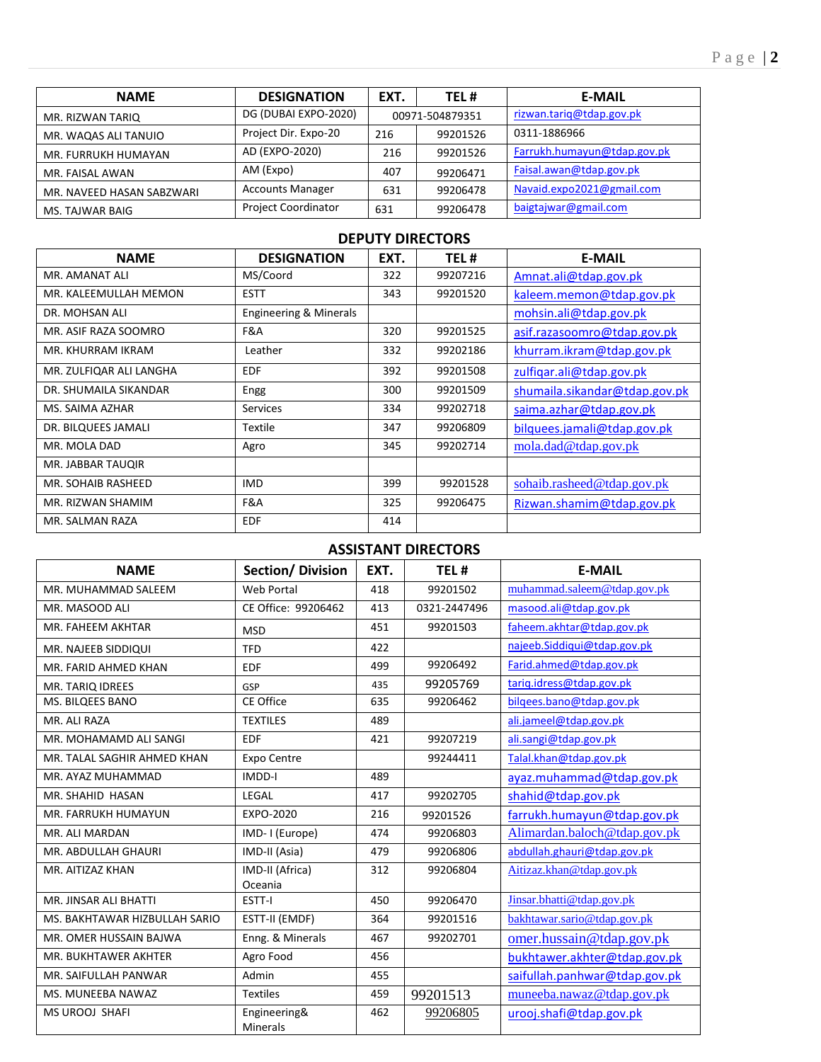| <b>NAME</b>               | <b>DESIGNATION</b>      | EXT. | TEL#            | <b>E-MAIL</b>               |
|---------------------------|-------------------------|------|-----------------|-----------------------------|
| MR. RIZWAN TARIO          | DG (DUBAI EXPO-2020)    |      | 00971-504879351 | rizwan.tariq@tdap.gov.pk    |
| MR. WAQAS ALI TANUIO      | Project Dir. Expo-20    | 216  | 99201526        | 0311-1886966                |
| MR. FURRUKH HUMAYAN       | AD (EXPO-2020)          | 216  | 99201526        | Farrukh.humayun@tdap.gov.pk |
| MR. FAISAL AWAN           | AM (Expo)               | 407  | 99206471        | Faisal.awan@tdap.gov.pk     |
| MR. NAVEED HASAN SABZWARI | <b>Accounts Manager</b> | 631  | 99206478        | Navaid.expo2021@gmail.com   |
| MS. TAJWAR BAIG           | Project Coordinator     | 631  | 99206478        | baigtajwar@gmail.com        |

## **DEPUTY DIRECTORS**

| <b>NAME</b>             | <b>DESIGNATION</b>     | EXT. | TEL #    | <b>E-MAIL</b>                 |
|-------------------------|------------------------|------|----------|-------------------------------|
| MR. AMANAT ALI          | MS/Coord               | 322  | 99207216 | Amnat.ali@tdap.gov.pk         |
| MR. KALEEMULLAH MEMON   | <b>ESTT</b>            | 343  | 99201520 | kaleem.memon@tdap.gov.pk      |
| DR. MOHSAN ALI          | Engineering & Minerals |      |          | mohsin.ali@tdap.gov.pk        |
| MR. ASIF RAZA SOOMRO    | F&A                    | 320  | 99201525 | asif.razasoomro@tdap.gov.pk   |
| MR. KHURRAM IKRAM       | Leather                | 332  | 99202186 | khurram.ikram@tdap.gov.pk     |
| MR. ZULFIQAR ALI LANGHA | <b>EDF</b>             | 392  | 99201508 | zulfigar.ali@tdap.gov.pk      |
| DR. SHUMAILA SIKANDAR   | Engg                   | 300  | 99201509 | shumaila.sikandar@tdap.gov.pk |
| MS. SAIMA AZHAR         | <b>Services</b>        | 334  | 99202718 | saima.azhar@tdap.gov.pk       |
| DR. BILQUEES JAMALI     | Textile                | 347  | 99206809 | bilquees.jamali@tdap.gov.pk   |
| MR. MOLA DAD            | Agro                   | 345  | 99202714 | mola.dad@tdap.gov.pk          |
| MR. JABBAR TAUQIR       |                        |      |          |                               |
| MR. SOHAIB RASHEED      | <b>IMD</b>             | 399  | 99201528 | sohaib.rasheed@tdap.gov.pk    |
| MR. RIZWAN SHAMIM       | F&A                    | 325  | 99206475 | Rizwan.shamim@tdap.gov.pk     |
| MR. SALMAN RAZA         | <b>EDF</b>             | 414  |          |                               |

## **ASSISTANT DIRECTORS**

| <b>NAME</b>                   | <b>Section/ Division</b>        | EXT. | TEL#         | <b>E-MAIL</b>                 |
|-------------------------------|---------------------------------|------|--------------|-------------------------------|
| MR. MUHAMMAD SALEEM           | Web Portal                      | 418  | 99201502     | muhammad.saleem@tdap.gov.pk   |
| MR. MASOOD ALI                | CE Office: 99206462             | 413  | 0321-2447496 | masood.ali@tdap.gov.pk        |
| MR. FAHEEM AKHTAR             | <b>MSD</b>                      | 451  | 99201503     | faheem.akhtar@tdap.gov.pk     |
| MR. NAJEEB SIDDIQUI           | <b>TFD</b>                      | 422  |              | najeeb.Siddiqui@tdap.gov.pk   |
| MR. FARID AHMED KHAN          | <b>EDF</b>                      | 499  | 99206492     | Farid.ahmed@tdap.gov.pk       |
| MR. TARIQ IDREES              | GSP                             | 435  | 99205769     | tarig.idress@tdap.gov.pk      |
| MS. BILQEES BANO              | CE Office                       | 635  | 99206462     | bilgees.bano@tdap.gov.pk      |
| MR. ALI RAZA                  | <b>TEXTILES</b>                 | 489  |              | ali.jameel@tdap.gov.pk        |
| MR. MOHAMAMD ALI SANGI        | <b>EDF</b>                      | 421  | 99207219     | ali.sangi@tdap.gov.pk         |
| MR. TALAL SAGHIR AHMED KHAN   | Expo Centre                     |      | 99244411     | Talal.khan@tdap.gov.pk        |
| MR. AYAZ MUHAMMAD             | <b>IMDD-I</b>                   | 489  |              | ayaz.muhammad@tdap.gov.pk     |
| MR. SHAHID HASAN              | LEGAL                           | 417  | 99202705     | shahid@tdap.gov.pk            |
| MR. FARRUKH HUMAYUN           | EXPO-2020                       | 216  | 99201526     | farrukh.humayun@tdap.gov.pk   |
| MR. ALI MARDAN                | IMD-I (Europe)                  | 474  | 99206803     | Alimardan.baloch@tdap.gov.pk  |
| MR. ABDULLAH GHAURI           | IMD-II (Asia)                   | 479  | 99206806     | abdullah.ghauri@tdap.gov.pk   |
| MR. AITIZAZ KHAN              | IMD-II (Africa)                 | 312  | 99206804     | Aitizaz.khan@tdap.gov.pk      |
|                               | Oceania                         |      |              |                               |
| MR. JINSAR ALI BHATTI         | ESTT-I                          | 450  | 99206470     | Jinsar.bhatti@tdap.gov.pk     |
| MS. BAKHTAWAR HIZBULLAH SARIO | ESTT-II (EMDF)                  | 364  | 99201516     | bakhtawar.sario@tdap.gov.pk   |
| MR. OMER HUSSAIN BAJWA        | Enng. & Minerals                | 467  | 99202701     | omer.hussain@tdap.gov.pk      |
| MR. BUKHTAWER AKHTER          | Agro Food                       | 456  |              | bukhtawer.akhter@tdap.gov.pk  |
| MR. SAIFULLAH PANWAR          | Admin                           | 455  |              | saifullah.panhwar@tdap.gov.pk |
| MS. MUNEEBA NAWAZ             | <b>Textiles</b>                 | 459  | 99201513     | muneeba.nawaz@tdap.gov.pk     |
| <b>MS UROOJ SHAFI</b>         | Engineering&<br><b>Minerals</b> | 462  | 99206805     | urooj.shafi@tdap.gov.pk       |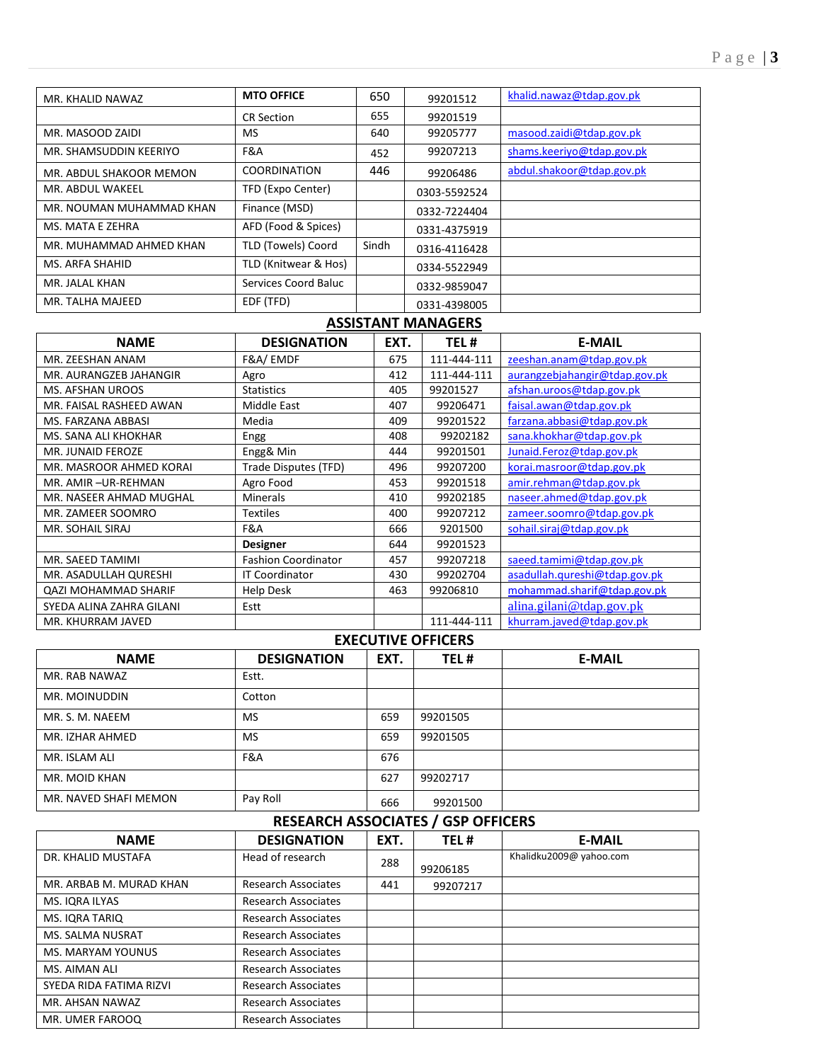| MR. KHALID NAWAZ         | <b>MTO OFFICE</b>    | 650   | 99201512     | khalid.nawaz@tdap.gov.pk  |
|--------------------------|----------------------|-------|--------------|---------------------------|
|                          | <b>CR Section</b>    | 655   | 99201519     |                           |
| MR. MASOOD ZAIDI         | MS.                  | 640   | 99205777     | masood.zaidi@tdap.gov.pk  |
| MR. SHAMSUDDIN KEERIYO   | F&A                  | 452   | 99207213     | shams.keeriyo@tdap.gov.pk |
| MR. ABDUL SHAKOOR MEMON  | <b>COORDINATION</b>  | 446   | 99206486     | abdul.shakoor@tdap.gov.pk |
| MR. ABDUL WAKEEL         | TFD (Expo Center)    |       | 0303-5592524 |                           |
| MR. NOUMAN MUHAMMAD KHAN | Finance (MSD)        |       | 0332-7224404 |                           |
| MS. MATA E ZEHRA         | AFD (Food & Spices)  |       | 0331-4375919 |                           |
| MR. MUHAMMAD AHMED KHAN  | TLD (Towels) Coord   | Sindh | 0316-4116428 |                           |
| MS. ARFA SHAHID          | TLD (Knitwear & Hos) |       | 0334-5522949 |                           |
| MR. JALAL KHAN           | Services Coord Baluc |       | 0332-9859047 |                           |
| MR. TALHA MAJEED         | EDF (TFD)            |       | 0331-4398005 |                           |

### **ASSISTANT MANAGERS**

| <b>NAME</b>                 | <b>DESIGNATION</b>         | EXT. | TEL#        | <b>E-MAIL</b>                 |
|-----------------------------|----------------------------|------|-------------|-------------------------------|
| MR. ZEESHAN ANAM            | F&A/EMDF                   | 675  | 111-444-111 | zeeshan.anam@tdap.gov.pk      |
| MR. AURANGZEB JAHANGIR      | Agro                       | 412  | 111-444-111 | aurangzebjahangir@tdap.gov.pk |
| <b>MS. AFSHAN UROOS</b>     | <b>Statistics</b>          | 405  | 99201527    | afshan.uroos@tdap.gov.pk      |
| MR. FAISAL RASHEED AWAN     | <b>Middle East</b>         | 407  | 99206471    | faisal.awan@tdap.gov.pk       |
| MS. FARZANA ABBASI          | Media                      | 409  | 99201522    | farzana.abbasi@tdap.gov.pk    |
| MS. SANA ALI KHOKHAR        | Engg                       | 408  | 99202182    | sana.khokhar@tdap.gov.pk      |
| <b>MR. JUNAID FEROZE</b>    | Engg& Min                  | 444  | 99201501    | Junaid.Feroz@tdap.gov.pk      |
| MR. MASROOR AHMED KORAI     | Trade Disputes (TFD)       | 496  | 99207200    | korai.masroor@tdap.gov.pk     |
| MR. AMIR-UR-REHMAN          | Agro Food                  | 453  | 99201518    | amir.rehman@tdap.gov.pk       |
| MR. NASEER AHMAD MUGHAL     | <b>Minerals</b>            | 410  | 99202185    | naseer.ahmed@tdap.gov.pk      |
| MR. ZAMEER SOOMRO           | <b>Textiles</b>            | 400  | 99207212    | zameer.soomro@tdap.gov.pk     |
| <b>MR. SOHAIL SIRAJ</b>     | F&A                        | 666  | 9201500     | sohail.siraj@tdap.gov.pk      |
|                             | <b>Designer</b>            | 644  | 99201523    |                               |
| MR. SAEED TAMIMI            | <b>Fashion Coordinator</b> | 457  | 99207218    | saeed.tamimi@tdap.gov.pk      |
| MR. ASADULLAH QURESHI       | <b>IT Coordinator</b>      | 430  | 99202704    | asadullah.qureshi@tdap.gov.pk |
| <b>QAZI MOHAMMAD SHARIF</b> | <b>Help Desk</b>           | 463  | 99206810    | mohammad.sharif@tdap.gov.pk   |
| SYEDA ALINA ZAHRA GILANI    | Estt                       |      |             | alina.gilani@tdap.gov.pk      |
| MR. KHURRAM JAVED           |                            |      | 111-444-111 | khurram.javed@tdap.gov.pk     |

## **EXECUTIVE OFFICERS**

| <b>NAME</b>           | <b>DESIGNATION</b> | EXT. | TEL#     | <b>E-MAIL</b> |
|-----------------------|--------------------|------|----------|---------------|
| MR. RAB NAWAZ         | Estt.              |      |          |               |
| MR. MOINUDDIN         | Cotton             |      |          |               |
| MR. S. M. NAEEM       | <b>MS</b>          | 659  | 99201505 |               |
| MR. IZHAR AHMED       | <b>MS</b>          | 659  | 99201505 |               |
| MR. ISLAM ALI         | F&A                | 676  |          |               |
| MR. MOID KHAN         |                    | 627  | 99202717 |               |
| MR. NAVED SHAFI MEMON | Pay Roll           | 666  | 99201500 |               |

# **RESEARCH ASSOCIATES / GSP OFFICERS**

| <b>NAME</b>              | <b>DESIGNATION</b>         | EXT. | TEL#     | <b>E-MAIL</b>           |
|--------------------------|----------------------------|------|----------|-------------------------|
| DR. KHALID MUSTAFA       | Head of research           | 288  | 99206185 | Khalidku2009@ yahoo.com |
| MR. ARBAB M. MURAD KHAN  | <b>Research Associates</b> | 441  | 99207217 |                         |
| MS. IORA ILYAS           | <b>Research Associates</b> |      |          |                         |
| MS. IQRA TARIQ           | <b>Research Associates</b> |      |          |                         |
| <b>MS. SALMA NUSRAT</b>  | <b>Research Associates</b> |      |          |                         |
| <b>MS. MARYAM YOUNUS</b> | <b>Research Associates</b> |      |          |                         |
| MS. AIMAN ALI            | <b>Research Associates</b> |      |          |                         |
| SYEDA RIDA FATIMA RIZVI  | <b>Research Associates</b> |      |          |                         |
| MR. AHSAN NAWAZ          | <b>Research Associates</b> |      |          |                         |
| MR. UMER FAROOQ          | <b>Research Associates</b> |      |          |                         |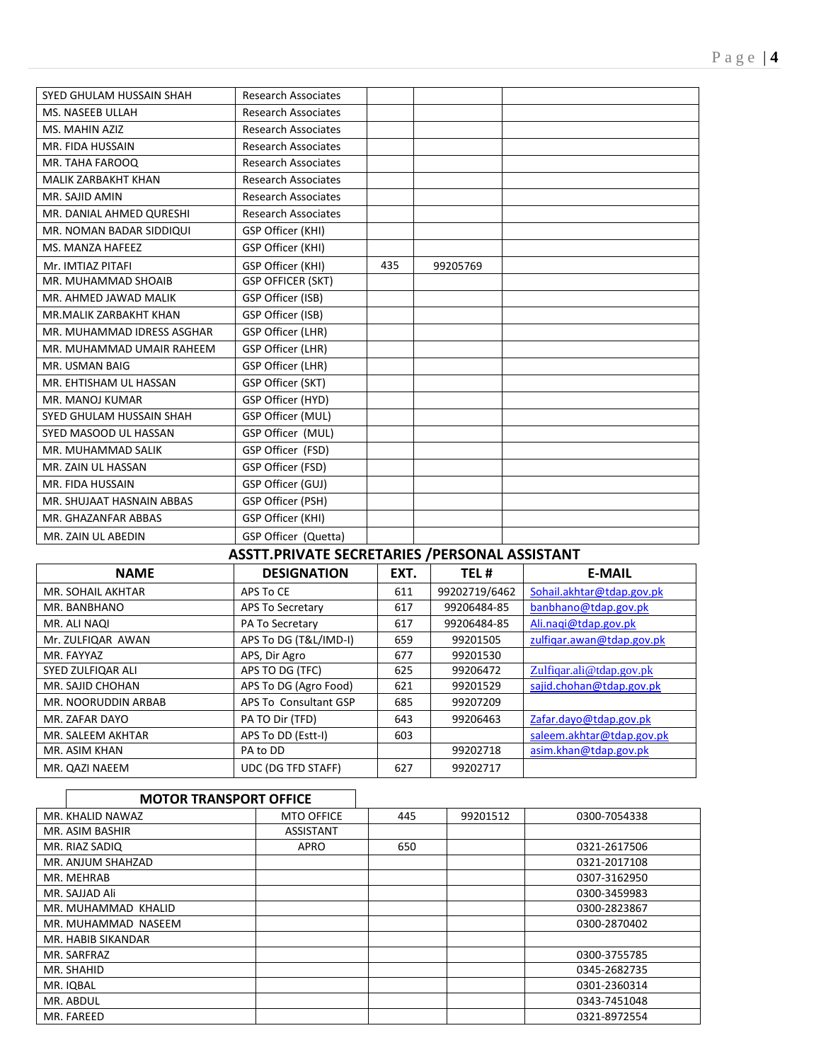| SYED GHULAM HUSSAIN SHAH   | <b>Research Associates</b> |     |          |  |
|----------------------------|----------------------------|-----|----------|--|
| MS. NASEEB ULLAH           | <b>Research Associates</b> |     |          |  |
| MS. MAHIN AZIZ             | <b>Research Associates</b> |     |          |  |
| MR. FIDA HUSSAIN           | <b>Research Associates</b> |     |          |  |
| MR. TAHA FAROOQ            | Research Associates        |     |          |  |
| <b>MALIK ZARBAKHT KHAN</b> | <b>Research Associates</b> |     |          |  |
| MR. SAJID AMIN             | <b>Research Associates</b> |     |          |  |
| MR. DANIAL AHMED QURESHI   | <b>Research Associates</b> |     |          |  |
| MR. NOMAN BADAR SIDDIQUI   | GSP Officer (KHI)          |     |          |  |
| MS. MANZA HAFEEZ           | GSP Officer (KHI)          |     |          |  |
| Mr. IMTIAZ PITAFI          | GSP Officer (KHI)          | 435 | 99205769 |  |
| MR. MUHAMMAD SHOAIB        | <b>GSP OFFICER (SKT)</b>   |     |          |  |
| MR. AHMED JAWAD MALIK      | GSP Officer (ISB)          |     |          |  |
| MR.MALIK ZARBAKHT KHAN     | GSP Officer (ISB)          |     |          |  |
| MR. MUHAMMAD IDRESS ASGHAR | GSP Officer (LHR)          |     |          |  |
| MR. MUHAMMAD UMAIR RAHEEM  | GSP Officer (LHR)          |     |          |  |
| MR. USMAN BAIG             | GSP Officer (LHR)          |     |          |  |
| MR. EHTISHAM UL HASSAN     | GSP Officer (SKT)          |     |          |  |
| MR. MANOJ KUMAR            | GSP Officer (HYD)          |     |          |  |
| SYED GHULAM HUSSAIN SHAH   | GSP Officer (MUL)          |     |          |  |
| SYED MASOOD UL HASSAN      | GSP Officer (MUL)          |     |          |  |
| MR. MUHAMMAD SALIK         | GSP Officer (FSD)          |     |          |  |
| MR. ZAIN UL HASSAN         | GSP Officer (FSD)          |     |          |  |
| MR. FIDA HUSSAIN           | GSP Officer (GUJ)          |     |          |  |
| MR. SHUJAAT HASNAIN ABBAS  | GSP Officer (PSH)          |     |          |  |
| MR. GHAZANFAR ABBAS        | GSP Officer (KHI)          |     |          |  |
| MR. ZAIN UL ABEDIN         | GSP Officer (Quetta)       |     |          |  |

# **ASSTT.PRIVATE SECRETARIES /PERSONAL ASSISTANT**

| <b>NAME</b>         | <b>DESIGNATION</b>    | EXT. | TEL#          | <b>E-MAIL</b>             |
|---------------------|-----------------------|------|---------------|---------------------------|
| MR. SOHAIL AKHTAR   | APS To CE             | 611  | 99202719/6462 | Sohail.akhtar@tdap.gov.pk |
| MR. BANBHANO        | APS To Secretary      | 617  | 99206484-85   | banbhano@tdap.gov.pk      |
| MR. ALI NAQI        | PA To Secretary       | 617  | 99206484-85   | Ali.nagi@tdap.gov.pk      |
| Mr. ZULFIQAR AWAN   | APS To DG (T&L/IMD-I) | 659  | 99201505      | zulfigar.awan@tdap.gov.pk |
| MR. FAYYAZ          | APS, Dir Agro         | 677  | 99201530      |                           |
| SYED ZULFIQAR ALI   | APS TO DG (TFC)       | 625  | 99206472      | Zulfigar.ali@tdap.gov.pk  |
| MR. SAJID CHOHAN    | APS To DG (Agro Food) | 621  | 99201529      | sajid.chohan@tdap.gov.pk  |
| MR. NOORUDDIN ARBAB | APS To Consultant GSP | 685  | 99207209      |                           |
| MR. ZAFAR DAYO      | PA TO Dir (TFD)       | 643  | 99206463      | Zafar.dayo@tdap.gov.pk    |
| MR. SALEEM AKHTAR   | APS To DD (Estt-I)    | 603  |               | saleem.akhtar@tdap.gov.pk |
| MR. ASIM KHAN       | PA to DD              |      | 99202718      | asim.khan@tdap.gov.pk     |
| MR. QAZI NAEEM      | UDC (DG TFD STAFF)    | 627  | 99202717      |                           |

1

### **MOTOR TRANSPORT OFFICE**

 $\Gamma$ 

| 99201512<br>MR. KHALID NAWAZ<br>445<br>0300-7054338<br><b>MTO OFFICE</b><br>MR. ASIM BASHIR<br><b>ASSISTANT</b><br>MR. RIAZ SADIQ<br>APRO<br>650<br>0321-2617506<br>MR. ANJUM SHAHZAD<br>0321-2017108<br>0307-3162950<br>MR. MEHRAB<br>MR. SAJJAD Ali<br>0300-3459983<br>MR. MUHAMMAD KHALID<br>0300-2823867<br>0300-2870402<br>MR. MUHAMMAD NASEEM<br>MR. HABIB SIKANDAR<br>MR. SARFRAZ<br>0300-3755785<br>MR. SHAHID<br>0345-2682735<br>MR. IQBAL<br>0301-2360314<br>MR. ABDUL<br>0343-7451048<br>MR. FAREED<br>0321-8972554 |  |  |  |
|--------------------------------------------------------------------------------------------------------------------------------------------------------------------------------------------------------------------------------------------------------------------------------------------------------------------------------------------------------------------------------------------------------------------------------------------------------------------------------------------------------------------------------|--|--|--|
|                                                                                                                                                                                                                                                                                                                                                                                                                                                                                                                                |  |  |  |
|                                                                                                                                                                                                                                                                                                                                                                                                                                                                                                                                |  |  |  |
|                                                                                                                                                                                                                                                                                                                                                                                                                                                                                                                                |  |  |  |
|                                                                                                                                                                                                                                                                                                                                                                                                                                                                                                                                |  |  |  |
|                                                                                                                                                                                                                                                                                                                                                                                                                                                                                                                                |  |  |  |
|                                                                                                                                                                                                                                                                                                                                                                                                                                                                                                                                |  |  |  |
|                                                                                                                                                                                                                                                                                                                                                                                                                                                                                                                                |  |  |  |
|                                                                                                                                                                                                                                                                                                                                                                                                                                                                                                                                |  |  |  |
|                                                                                                                                                                                                                                                                                                                                                                                                                                                                                                                                |  |  |  |
|                                                                                                                                                                                                                                                                                                                                                                                                                                                                                                                                |  |  |  |
|                                                                                                                                                                                                                                                                                                                                                                                                                                                                                                                                |  |  |  |
|                                                                                                                                                                                                                                                                                                                                                                                                                                                                                                                                |  |  |  |
|                                                                                                                                                                                                                                                                                                                                                                                                                                                                                                                                |  |  |  |
|                                                                                                                                                                                                                                                                                                                                                                                                                                                                                                                                |  |  |  |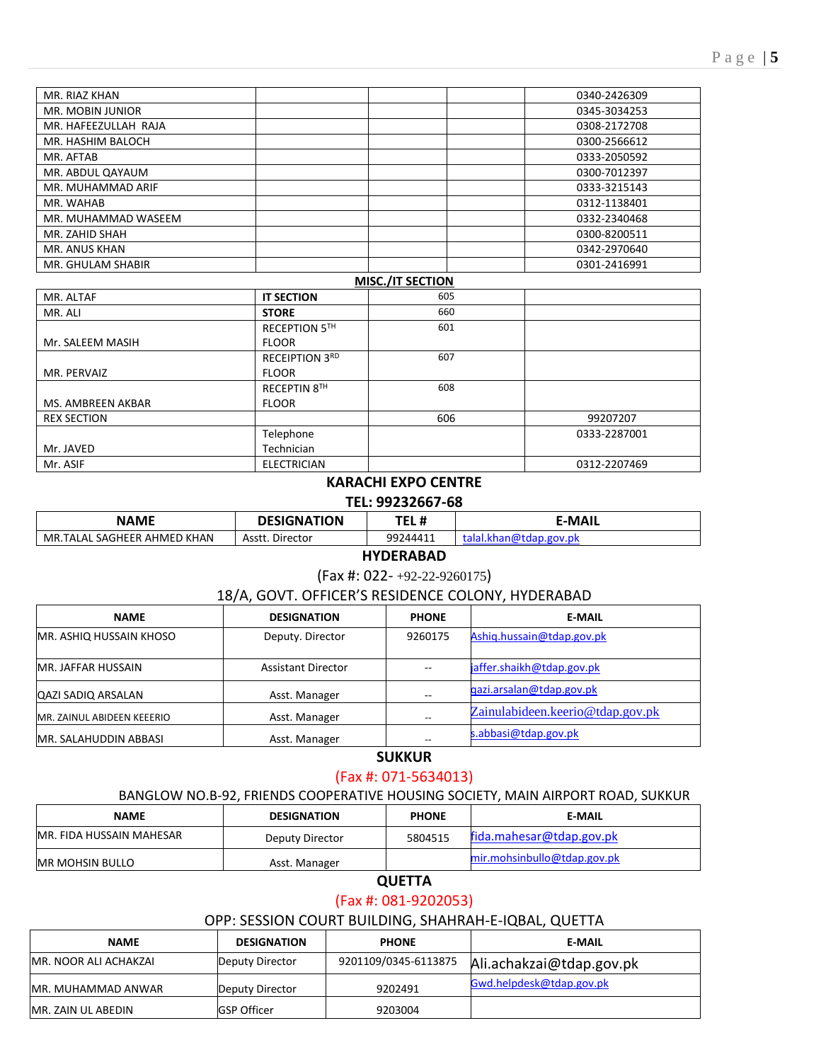| MISC. /IT SECTION    |              |
|----------------------|--------------|
| MR. GHULAM SHABIR    | 0301-2416991 |
| MR. ANUS KHAN        | 0342-2970640 |
| MR. ZAHID SHAH       | 0300-8200511 |
| MR. MUHAMMAD WASEEM  | 0332-2340468 |
| MR. WAHAB            | 0312-1138401 |
| MR. MUHAMMAD ARIF    | 0333-3215143 |
| MR. ABDUL QAYAUM     | 0300-7012397 |
| MR. AFTAB            | 0333-2050592 |
| MR. HASHIM BALOCH    | 0300-2566612 |
| MR. HAFEEZULLAH RAJA | 0308-2172708 |
| MR. MOBIN JUNIOR     | 0345-3034253 |
| MR. RIAZ KHAN        | 0340-2426309 |

| MR. ALTAF          | <b>IT SECTION</b>     | 605 |              |
|--------------------|-----------------------|-----|--------------|
| MR. ALI            | <b>STORE</b>          | 660 |              |
|                    | RECEPTION 5TH         | 601 |              |
| Mr. SALEEM MASIH   | <b>FLOOR</b>          |     |              |
|                    | <b>RECEIPTION 3RD</b> | 607 |              |
| MR. PERVAIZ        | <b>FLOOR</b>          |     |              |
|                    | RECEPTIN 8TH          | 608 |              |
| MS. AMBREEN AKBAR  | <b>FLOOR</b>          |     |              |
| <b>REX SECTION</b> |                       | 606 | 99207207     |
|                    | Telephone             |     | 0333-2287001 |
| Mr. JAVED          | Technician            |     |              |
| Mr. ASIF           | <b>ELECTRICIAN</b>    |     | 0312-2207469 |

## **KARACHI EXPO CENTRE**

#### **TEL: 99232667-68**

| NAME                        | <b>DESIGNATION</b> | TEL #    | ™AII:                            |
|-----------------------------|--------------------|----------|----------------------------------|
| MR.TALAL SAGHEER AHMED KHAN | Director<br>Asstt. | 99244411 | .gov.pk<br>יו רי<br>.KHd<br>didi |

#### **HYDERABAD**

#### (Fax #: 022- +92-22-9260175)

#### 18/A, GOVT. OFFICER'S RESIDENCE COLONY, HYDERABAD

| <b>NAME</b>                    | <b>DESIGNATION</b><br><b>PHONE</b> |                          | <b>E-MAIL</b>                    |
|--------------------------------|------------------------------------|--------------------------|----------------------------------|
| <b>MR. ASHIQ HUSSAIN KHOSO</b> | Deputy. Director<br>9260175        |                          | Ashiq.hussain@tdap.gov.pk        |
| <b>MR. JAFFAR HUSSAIN</b>      | <b>Assistant Director</b>          | $\overline{\phantom{m}}$ | jaffer.shaikh@tdap.gov.pk        |
| <b>QAZI SADIQ ARSALAN</b>      | Asst. Manager                      | --                       | gazi.arsalan@tdap.gov.pk         |
| MR. ZAINUL ABIDEEN KEEERIO     | Asst. Manager                      | $- -$                    | Zainulabideen.keerio@tdap.gov.pk |
| <b>MR. SALAHUDDIN ABBASI</b>   | Asst. Manager                      | $- -$                    | s.abbasi@tdap.gov.pk             |

## **SUKKUR**

## (Fax #: 071-5634013)

#### BANGLOW NO.B-92, FRIENDS COOPERATIVE HOUSING SOCIETY, MAIN AIRPORT ROAD, SUKKUR

| <b>NAME</b>                     | <b>DESIGNATION</b> | <b>PHONE</b> | <b>E-MAIL</b>               |
|---------------------------------|--------------------|--------------|-----------------------------|
| <b>MR. FIDA HUSSAIN MAHESAR</b> | Deputy Director    | 5804515      | fida.mahesar@tdap.gov.pk    |
| IMR MOHSIN BULLO                | Asst. Manager      |              | mir.mohsinbullo@tdap.gov.pk |

## **QUETTA**

## (Fax #: 081-9202053)

## OPP: SESSION COURT BUILDING, SHAHRAH-E-IQBAL, QUETTA

| <b>NAME</b>           | <b>DESIGNATION</b> | <b>PHONE</b>         | E-MAIL                   |
|-----------------------|--------------------|----------------------|--------------------------|
| MR. NOOR ALI ACHAKZAI | Deputy Director    | 9201109/0345-6113875 | Ali.achakzai@tdap.gov.pk |
| MR. MUHAMMAD ANWAR    | Deputy Director    | 9202491              | Gwd.helpdesk@tdap.gov.pk |
| MR. ZAIN UL ABEDIN    | <b>GSP Officer</b> | 9203004              |                          |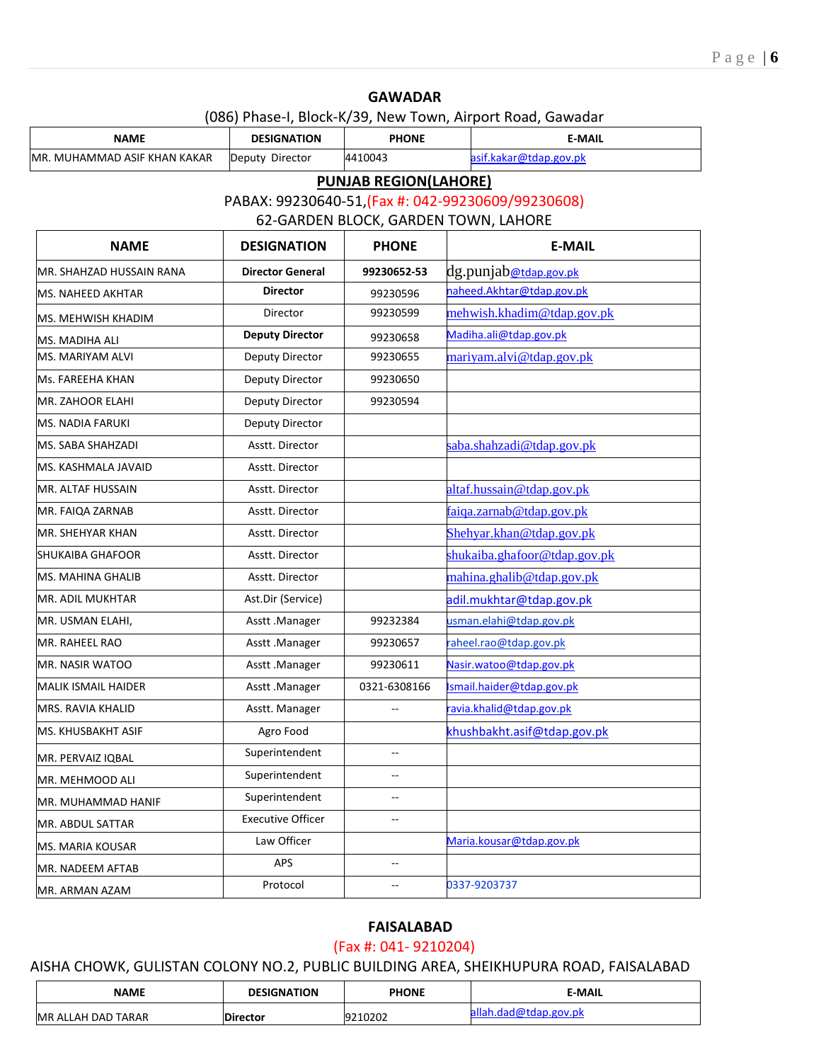**GAWADAR** (086) Phase-I, Block-K/39, New Town, Airport Road, Gawadar

| <b>NAME</b>                  | <b>DESIGNATION</b>                                 | <b>PHONE</b>             |                          | <b>E-MAIL</b>                  |  |  |  |  |
|------------------------------|----------------------------------------------------|--------------------------|--------------------------|--------------------------------|--|--|--|--|
| MR. MUHAMMAD ASIF KHAN KAKAR | Deputy Director                                    | 4410043                  |                          | asif.kakar@tdap.gov.pk         |  |  |  |  |
| <b>PUNJAB REGION(LAHORE)</b> |                                                    |                          |                          |                                |  |  |  |  |
|                              | PABAX: 99230640-51, (Fax #: 042-99230609/99230608) |                          |                          |                                |  |  |  |  |
|                              | 62-GARDEN BLOCK, GARDEN TOWN, LAHORE               |                          |                          |                                |  |  |  |  |
| <b>NAME</b>                  | <b>DESIGNATION</b>                                 | <b>PHONE</b>             |                          | <b>E-MAIL</b>                  |  |  |  |  |
| MR. SHAHZAD HUSSAIN RANA     | <b>Director General</b>                            | 99230652-53              |                          | dg.punjab <u>@tdap.gov.pk</u>  |  |  |  |  |
| MS. NAHEED AKHTAR            | <b>Director</b>                                    | 99230596                 |                          | naheed. Akhtar@tdap.gov.pk     |  |  |  |  |
| MS. MEHWISH KHADIM           | Director                                           | 99230599                 |                          | mehwish.khadim@tdap.gov.pk     |  |  |  |  |
| MS. MADIHA ALI               | <b>Deputy Director</b>                             | 99230658                 |                          | Madiha.ali@tdap.gov.pk         |  |  |  |  |
| MS. MARIYAM ALVI             | Deputy Director                                    | 99230655                 |                          | mariyam.alvi@tdap.gov.pk       |  |  |  |  |
| Ms. FAREEHA KHAN             | Deputy Director                                    | 99230650                 |                          |                                |  |  |  |  |
| <b>MR. ZAHOOR ELAHI</b>      | <b>Deputy Director</b>                             | 99230594                 |                          |                                |  |  |  |  |
| <b>MS. NADIA FARUKI</b>      | Deputy Director                                    |                          |                          |                                |  |  |  |  |
| MS. SABA SHAHZADI            | Asstt. Director                                    |                          |                          | saba.shahzadi@tdap.gov.pk      |  |  |  |  |
| MS. KASHMALA JAVAID          | Asstt. Director                                    |                          |                          |                                |  |  |  |  |
| MR. ALTAF HUSSAIN            | Asstt. Director                                    |                          |                          | altaf.hussain@tdap.gov.pk      |  |  |  |  |
| MR. FAIQA ZARNAB             | Asstt. Director                                    |                          |                          | faiqa.zarnab@tdap.gov.pk       |  |  |  |  |
| MR. SHEHYAR KHAN             | Asstt. Director                                    |                          | Shehyar.khan@tdap.gov.pk |                                |  |  |  |  |
| SHUKAIBA GHAFOOR             | Asstt. Director                                    |                          |                          | shukaiba.ghafoor@tdap.gov.pk   |  |  |  |  |
| <b>MS. MAHINA GHALIB</b>     | Asstt. Director                                    |                          |                          | mahina.ghalib@tdap.gov.pk      |  |  |  |  |
| MR. ADIL MUKHTAR             | Ast.Dir (Service)                                  |                          |                          | adil.mukhtar@tdap.gov.pk       |  |  |  |  |
| MR. USMAN ELAHI,             | Asstt .Manager                                     | 99232384                 |                          | usman.elahi@tdap.gov.pk        |  |  |  |  |
| MR. RAHEEL RAO               | Asstt.Manager                                      | 99230657                 |                          | aheel.rao@tdap.gov.pk          |  |  |  |  |
| MR. NASIR WATOO              | Asstt .Manager                                     | 99230611                 |                          | Nasir.watoo@tdap.gov.pk        |  |  |  |  |
| <b>MALIK ISMAIL HAIDER</b>   | Asstt.Manager                                      | 0321-6308166             |                          | smail.haider@tdap.gov.pk       |  |  |  |  |
| MRS. RAVIA KHALID            | Asstt. Manager                                     |                          |                          | <u>avia.khalid@tdap.gov.pk</u> |  |  |  |  |
| MS. KHUSBAKHT ASIF           | Agro Food                                          |                          |                          | khushbakht.asif@tdap.gov.pk    |  |  |  |  |
| MR. PERVAIZ IQBAL            | Superintendent                                     | $\overline{a}$           |                          |                                |  |  |  |  |
| MR. MEHMOOD ALI              | Superintendent                                     | $\overline{\phantom{a}}$ |                          |                                |  |  |  |  |
| MR. MUHAMMAD HANIF           | Superintendent                                     | --                       |                          |                                |  |  |  |  |
| MR. ABDUL SATTAR             | <b>Executive Officer</b>                           | --                       |                          |                                |  |  |  |  |
| MS. MARIA KOUSAR             | Law Officer                                        |                          |                          | Maria.kousar@tdap.gov.pk       |  |  |  |  |
| MR. NADEEM AFTAB             | APS                                                | --                       |                          |                                |  |  |  |  |
| MR. ARMAN AZAM               | Protocol                                           | --                       |                          | 0337-9203737                   |  |  |  |  |

#### **FAISALABAD**

(Fax #: 041- 9210204)

# AISHA CHOWK, GULISTAN COLONY NO.2, PUBLIC BUILDING AREA, SHEIKHUPURA ROAD, FAISALABAD

| <b>NAME</b>                     | <b>DESIGNATION</b> | <b>PHONE</b> | <b>E-MAIL</b> |
|---------------------------------|--------------------|--------------|---------------|
| <b>IMR</b><br>l ALLAH DAD TARAR | ctor               | 10202        |               |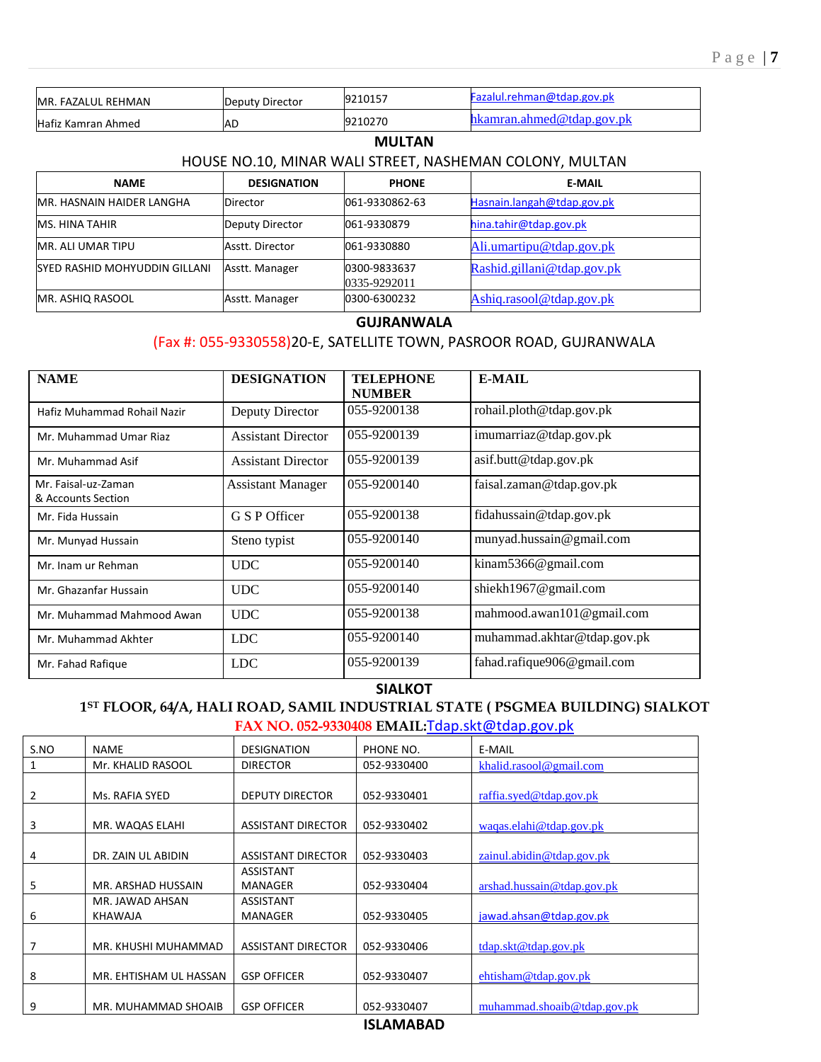| MR. FAZALUL REHMAN             | Deputy Director    | 9210157                      | Fazalul.rehman@tdap.gov.pk                              |
|--------------------------------|--------------------|------------------------------|---------------------------------------------------------|
| Hafiz Kamran Ahmed             | AD                 | 9210270                      | hkamran.ahmed@tdap.gov.pk                               |
|                                |                    | <b>MULTAN</b>                |                                                         |
|                                |                    |                              | HOUSE NO.10, MINAR WALI STREET, NASHEMAN COLONY, MULTAN |
| <b>NAME</b>                    | <b>DESIGNATION</b> | <b>PHONE</b>                 | <b>E-MAIL</b>                                           |
| IMR. HASNAIN HAIDER LANGHA     | <b>Director</b>    | 061-9330862-63               | Hasnain.langah@tdap.gov.pk                              |
| <b>MS. HINA TAHIR</b>          | Deputy Director    | 061-9330879                  | hina.tahir@tdap.gov.pk                                  |
| MR. ALI UMAR TIPU              | Asstt. Director    | 061-9330880                  | Ali.umartipu@tdap.gov.pk                                |
| ISYED RASHID MOHYUDDIN GILLANI | Asstt. Manager     | 0300-9833637<br>0335-9292011 | Rashid.gillani@tdap.gov.pk                              |
| MR. ASHIQ RASOOL               | Asstt. Manager     | 0300-6300232                 | Ashig.rasool@tdap.gov.pk                                |

#### **GUJRANWALA**

## (Fax #: 055-9330558)20-E, SATELLITE TOWN, PASROOR ROAD, GUJRANWALA

| <b>NAME</b>                               | <b>DESIGNATION</b>        | <b>TELEPHONE</b><br><b>NUMBER</b> | <b>E-MAIL</b>               |
|-------------------------------------------|---------------------------|-----------------------------------|-----------------------------|
| Hafiz Muhammad Rohail Nazir               | Deputy Director           | 055-9200138                       | rohail.ploth@tdap.gov.pk    |
| Mr. Muhammad Umar Riaz                    | <b>Assistant Director</b> | 055-9200139                       | imumarriaz@tdap.gov.pk      |
| Mr. Muhammad Asif                         | <b>Assistant Director</b> | 055-9200139                       | asif.butt@tdap.gov.pk       |
| Mr. Faisal-uz-Zaman<br>& Accounts Section | <b>Assistant Manager</b>  | 055-9200140                       | faisal.zaman@tdap.gov.pk    |
| Mr. Fida Hussain                          | G S P Officer             | 055-9200138                       | fidahussain@tdap.gov.pk     |
| Mr. Munyad Hussain                        | Steno typist              | 055-9200140                       | munyad.hussain@gmail.com    |
| Mr. Inam ur Rehman                        | <b>UDC</b>                | 055-9200140                       | kinam $5366@$ gmail.com     |
| Mr. Ghazanfar Hussain                     | <b>UDC</b>                | 055-9200140                       | shiekh1967@gmail.com        |
| Mr. Muhammad Mahmood Awan                 | <b>UDC</b>                | 055-9200138                       | mahmood.awan101@gmail.com   |
| Mr. Muhammad Akhter                       | <b>LDC</b>                | 055-9200140                       | muhammad.akhtar@tdap.gov.pk |
| Mr. Fahad Rafique                         | <b>LDC</b>                | 055-9200139                       | fahad.rafique906@gmail.com  |

#### **SIALKOT**

## **1ST FLOOR, 64/A, HALI ROAD, SAMIL INDUSTRIAL STATE ( PSGMEA BUILDING) SIALKOT FAX NO. 052-9330408 EMAIL:**[Tdap.skt@tdap.gov.pk](mailto:Tdap.skt@tdap.gov.pk)

| S.NO           | <b>NAME</b>                       | <b>DESIGNATION</b>                 | PHONE NO.   | E-MAIL                       |
|----------------|-----------------------------------|------------------------------------|-------------|------------------------------|
|                | Mr. KHALID RASOOL                 | <b>DIRECTOR</b>                    | 052-9330400 | khalid.rasool@gmail.com      |
| $\overline{2}$ | Ms. RAFIA SYED                    | <b>DEPUTY DIRECTOR</b>             | 052-9330401 | raffia.syed@tdap.gov.pk      |
| 3              | MR. WAQAS ELAHI                   | <b>ASSISTANT DIRECTOR</b>          | 052-9330402 | waqas.elahi@tdap.gov.pk      |
| 4              | DR. ZAIN UL ABIDIN                | <b>ASSISTANT DIRECTOR</b>          | 052-9330403 | $zainul$ .abidin@tdap.gov.pk |
| 5              | MR. ARSHAD HUSSAIN                | <b>ASSISTANT</b><br><b>MANAGER</b> | 052-9330404 | arshad. hussain@tdap.gov.pk  |
| 6              | MR. JAWAD AHSAN<br><b>KHAWAJA</b> | <b>ASSISTANT</b><br><b>MANAGER</b> | 052-9330405 | jawad.ahsan@tdap.gov.pk      |
| 7              | MR. KHUSHI MUHAMMAD               | <b>ASSISTANT DIRECTOR</b>          | 052-9330406 | tdap. skt@tdap.gov. pk       |
| 8              | MR. EHTISHAM UL HASSAN            | <b>GSP OFFICER</b>                 | 052-9330407 | $e$ htisham@tdap.gov.pk      |
| 9              | MR. MUHAMMAD SHOAIB               | <b>GSP OFFICER</b>                 | 052-9330407 | muhammad.shoaib@tdap.gov.pk  |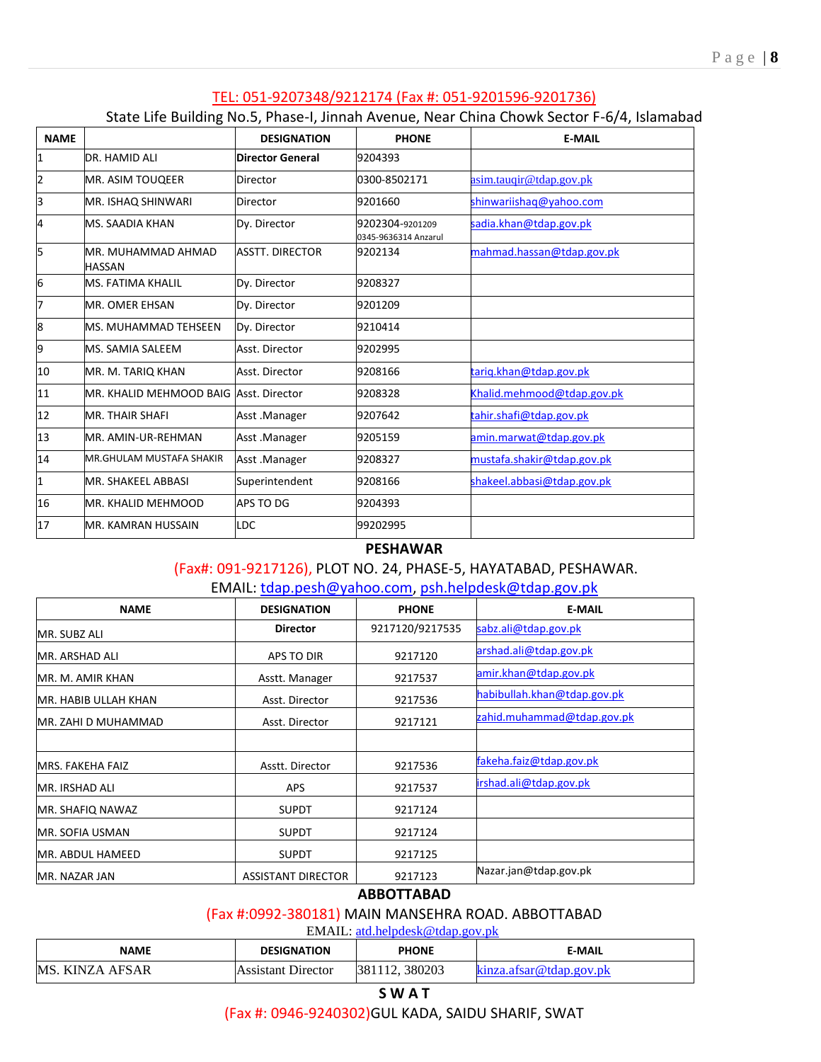#### TEL: 051-9207348/9212174 (Fax #: 051-9201596-9201736)

#### State Life Building No.5, Phase-I, Jinnah Avenue, Near China Chowk Sector F-6/4, Islamabad

| <b>NAME</b>  |                                         | <b>DESIGNATION</b>      | <b>PHONE</b>                            | <b>E-MAIL</b>              |
|--------------|-----------------------------------------|-------------------------|-----------------------------------------|----------------------------|
| 1            | DR. HAMID ALI                           | <b>Director General</b> | 9204393                                 |                            |
| 2            | MR. ASIM TOUQEER                        | Director                | 0300-8502171                            | asim.tauqir@tdap.gov.pk    |
| 3            | MR. ISHAQ SHINWARI                      | Director                | 9201660                                 | shinwariishaq@yahoo.com    |
| 4            | MS. SAADIA KHAN                         | Dy. Director            | 9202304-9201209<br>0345-9636314 Anzarul | sadia.khan@tdap.gov.pk     |
| l5           | MR. MUHAMMAD AHMAD<br><b>HASSAN</b>     | <b>ASSTT. DIRECTOR</b>  | 9202134                                 | mahmad.hassan@tdap.gov.pk  |
| 6            | <b>MS. FATIMA KHALIL</b>                | Dy. Director            | 9208327                                 |                            |
| 7            | <b>MR. OMER EHSAN</b>                   | Dy. Director            | 9201209                                 |                            |
| 8            | MS. MUHAMMAD TEHSEEN                    | Dy. Director            | 9210414                                 |                            |
| 9            | MS. SAMIA SALEEM                        | Asst. Director          | 9202995                                 |                            |
| 10           | MR. M. TARIQ KHAN                       | Asst. Director          | 9208166                                 | tariq.khan@tdap.gov.pk     |
| 11           | MR. KHALID MEHMOOD BAIG lAsst. Director |                         | 9208328                                 | Khalid.mehmood@tdap.gov.pk |
| 12           | MR. THAIR SHAFI                         | Asst.Manager            | 9207642                                 | tahir.shafi@tdap.gov.pk    |
| 13           | MR. AMIN-UR-REHMAN                      | Asst.Manager            | 9205159                                 | amin.marwat@tdap.gov.pk    |
| 14           | MR.GHULAM MUSTAFA SHAKIR                | Asst .Manager           | 9208327                                 | mustafa.shakir@tdap.gov.pk |
| $\mathbf{1}$ | MR. SHAKEEL ABBASI                      | Superintendent          | 9208166                                 | shakeel.abbasi@tdap.gov.pk |
| 16           | MR. KHALID MEHMOOD                      | APS TO DG               | 9204393                                 |                            |
| 17           | MR. KAMRAN HUSSAIN                      | LDC                     | 99202995                                |                            |

#### **PESHAWAR**

(Fax#: 091-9217126), PLOT NO. 24, PHASE-5, HAYATABAD, PESHAWAR.

EMAIL: [tdap.pesh@yahoo.com,](mailto:tdap.pesh@yahoo.com) [psh.helpdesk@tdap.gov.pk](mailto:psh.helpdesk@tdap.gov.pk)

| <b>NAME</b>             | <b>DESIGNATION</b>        | <b>PHONE</b>    | <b>E-MAIL</b>               |
|-------------------------|---------------------------|-----------------|-----------------------------|
| MR. SUBZ ALI            | <b>Director</b>           | 9217120/9217535 | sabz.ali@tdap.gov.pk        |
| lMR. ARSHAD ALI         | APS TO DIR                | 9217120         | arshad.ali@tdap.gov.pk      |
| MR. M. AMIR KHAN        | Asstt. Manager            | 9217537         | amir.khan@tdap.gov.pk       |
| IMR. HABIB ULLAH KHAN   | Asst. Director            | 9217536         | habibullah.khan@tdap.gov.pk |
| IMR. ZAHI D MUHAMMAD    | Asst. Director            | 9217121         | zahid.muhammad@tdap.gov.pk  |
|                         |                           |                 |                             |
| <b>MRS. FAKEHA FAIZ</b> | Asstt. Director           | 9217536         | fakeha.faiz@tdap.gov.pk     |
| lMR. IRSHAD ALI         | <b>APS</b>                | 9217537         | irshad.ali@tdap.gov.pk      |
| MR. SHAFIQ NAWAZ        | <b>SUPDT</b>              | 9217124         |                             |
| IMR. SOFIA USMAN        | <b>SUPDT</b>              | 9217124         |                             |
| IMR. ABDUL HAMEED       | <b>SUPDT</b>              | 9217125         |                             |
| MR. NAZAR JAN           | <b>ASSISTANT DIRECTOR</b> | 9217123         | Nazar.jan@tdap.gov.pk       |

### **ABBOTTABAD**

#### (Fax #:0992-380181) MAIN MANSEHRA ROAD. ABBOTTABAD

EMAIL: [atd.helpdesk@tdap.gov.pk](mailto:atd.helpdesk@tdap.gov.pk)

| <b>NAME</b>                         | <b>DESIGNATION</b> | <b>PHONE</b>     | E-MAIL                  |
|-------------------------------------|--------------------|------------------|-------------------------|
| MS.<br><b>KINZA</b><br><b>AFSAR</b> | Assistant Director | 380203<br>381112 | kinza.afsar@tdap.gov.pk |

# **S W A T** (Fax #: 0946-9240302)GUL KADA, SAIDU SHARIF, SWAT